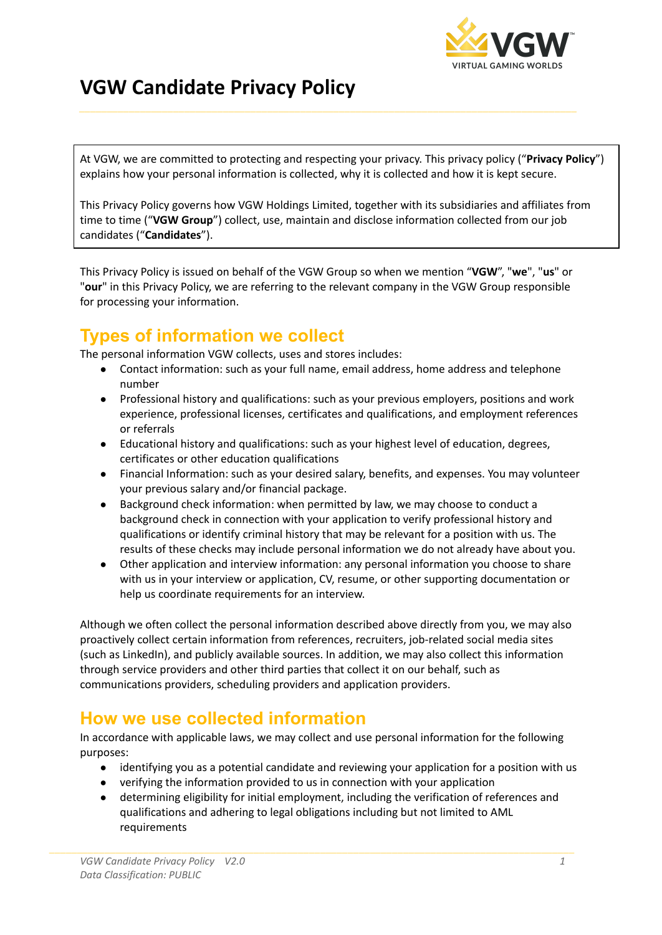

## **VGW Candidate Privacy Policy**

At VGW, we are committed to protecting and respecting your privacy. This privacy policy ("**Privacy Policy**") explains how your personal information is collected, why it is collected and how it is kept secure.

This Privacy Policy governs how VGW Holdings Limited, together with its subsidiaries and affiliates from time to time ("**VGW Group**") collect, use, maintain and disclose information collected from our job candidates ("**Candidates**").

This Privacy Policy is issued on behalf of the VGW Group so when we mention "**VGW**", "**we**", "**us**" or "**our**" in this Privacy Policy, we are referring to the relevant company in the VGW Group responsible for processing your information.

## **Types of information we collect**

The personal information VGW collects, uses and stores includes:

- Contact information: such as your full name, email address, home address and telephone number
- Professional history and qualifications: such as your previous employers, positions and work experience, professional licenses, certificates and qualifications, and employment references or referrals
- Educational history and qualifications: such as your highest level of education, degrees, certificates or other education qualifications
- Financial Information: such as your desired salary, benefits, and expenses. You may volunteer your previous salary and/or financial package.
- Background check information: when permitted by law, we may choose to conduct a background check in connection with your application to verify professional history and qualifications or identify criminal history that may be relevant for a position with us. The results of these checks may include personal information we do not already have about you.
- Other application and interview information: any personal information you choose to share with us in your interview or application, CV, resume, or other supporting documentation or help us coordinate requirements for an interview.

Although we often collect the personal information described above directly from you, we may also proactively collect certain information from references, recruiters, job-related social media sites (such as LinkedIn), and publicly available sources. In addition, we may also collect this information through service providers and other third parties that collect it on our behalf, such as communications providers, scheduling providers and application providers.

## **How we use collected information**

In accordance with applicable laws, we may collect and use personal information for the following purposes:

- identifying you as a potential candidate and reviewing your application for a position with us
- verifying the information provided to us in connection with your application
- determining eligibility for initial employment, including the verification of references and qualifications and adhering to legal obligations including but not limited to AML requirements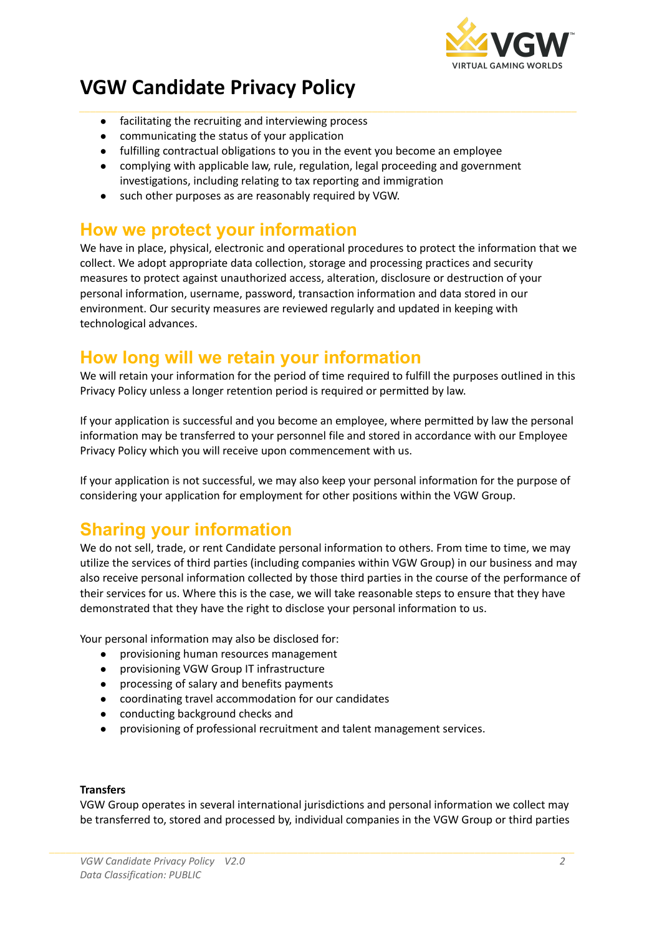

# **VGW Candidate Privacy Policy**

- facilitating the recruiting and interviewing process
- communicating the status of your application
- fulfilling contractual obligations to you in the event you become an employee
- complying with applicable law, rule, regulation, legal proceeding and government investigations, including relating to tax reporting and immigration
- such other purposes as are reasonably required by VGW.

### **How we protect your information**

We have in place, physical, electronic and operational procedures to protect the information that we collect. We adopt appropriate data collection, storage and processing practices and security measures to protect against unauthorized access, alteration, disclosure or destruction of your personal information, username, password, transaction information and data stored in our environment. Our security measures are reviewed regularly and updated in keeping with technological advances.

### **How long will we retain your information**

We will retain your information for the period of time required to fulfill the purposes outlined in this Privacy Policy unless a longer retention period is required or permitted by law.

If your application is successful and you become an employee, where permitted by law the personal information may be transferred to your personnel file and stored in accordance with our Employee Privacy Policy which you will receive upon commencement with us.

If your application is not successful, we may also keep your personal information for the purpose of considering your application for employment for other positions within the VGW Group.

## **Sharing your information**

We do not sell, trade, or rent Candidate personal information to others. From time to time, we may utilize the services of third parties (including companies within VGW Group) in our business and may also receive personal information collected by those third parties in the course of the performance of their services for us. Where this is the case, we will take reasonable steps to ensure that they have demonstrated that they have the right to disclose your personal information to us.

Your personal information may also be disclosed for:

- provisioning human resources management
- provisioning VGW Group IT infrastructure
- processing of salary and benefits payments
- coordinating travel accommodation for our candidates
- conducting background checks and
- provisioning of professional recruitment and talent management services.

#### **Transfers**

VGW Group operates in several international jurisdictions and personal information we collect may be transferred to, stored and processed by, individual companies in the VGW Group or third parties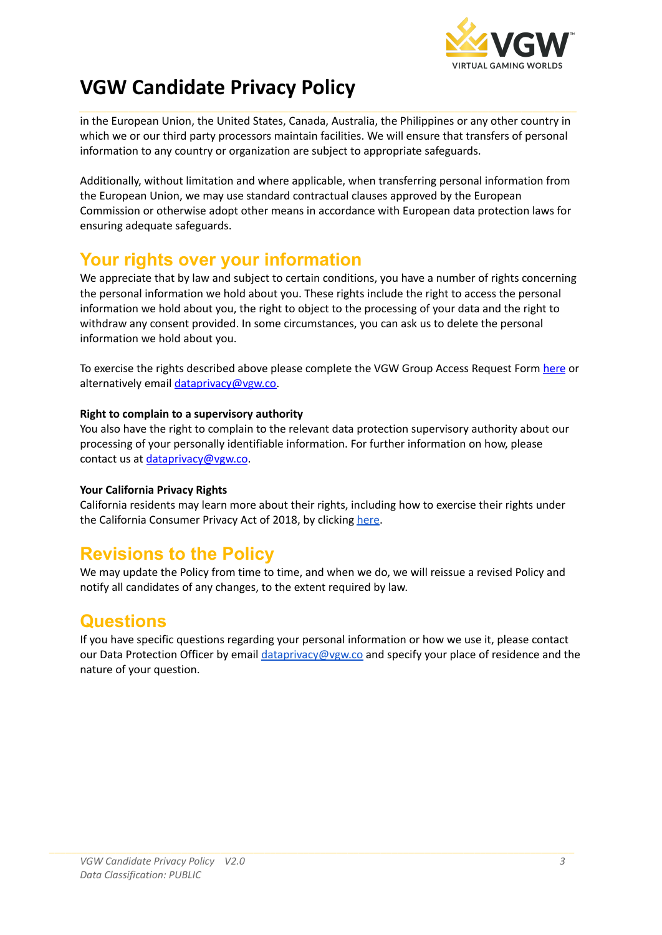

## **VGW Candidate Privacy Policy**

in the European Union, the United States, Canada, Australia, the Philippines or any other country in which we or our third party processors maintain facilities. We will ensure that transfers of personal information to any country or organization are subject to appropriate safeguards.

Additionally, without limitation and where applicable, when transferring personal information from the European Union, we may use standard contractual clauses approved by the European Commission or otherwise adopt other means in accordance with European data protection laws for ensuring adequate safeguards.

## **Your rights over your information**

We appreciate that by law and subject to certain conditions, you have a number of rights concerning the personal information we hold about you. These rights include the right to access the personal information we hold about you, the right to object to the processing of your data and the right to withdraw any consent provided. In some circumstances, you can ask us to delete the personal information we hold about you.

To exercise the rights described above please complete the VGW Group Access Request Form [here](https://privacyportal-eu.onetrust.com/webform/571c3f12-d10b-4ddd-b01d-c265d9911c9f/0584594b-ff75-448f-9fc3-7ffc7f8bffda) or alternatively email [dataprivacy@vgw.co.](mailto:dataprivacy@vgw.co)

#### **Right to complain to a supervisory authority**

You also have the right to complain to the relevant data protection supervisory authority about our processing of your personally identifiable information. For further information on how, please contact us at [dataprivacy@vgw.co](mailto:dataprivacy@vgw.co).

#### **Your California Privacy Rights**

California residents may learn more about their rights, including how to exercise their rights under the California Consumer Privacy Act of 2018, by clicking [here.](https://www.vgw.co/policies/#privacytwo)

## **Revisions to the Policy**

We may update the Policy from time to time, and when we do, we will reissue a revised Policy and notify all candidates of any changes, to the extent required by law.

### **Questions**

If you have specific questions regarding your personal information or how we use it, please contact our Data Protection Officer by email [dataprivacy@vgw.co](mailto:dataprivacy@vgw.co) and specify your place of residence and the nature of your question.